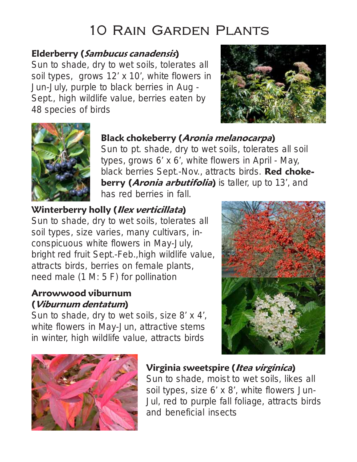# 10 Rain Garden Plants

### Elderberry (Sambucus canadensis)

Sun to shade, dry to wet soils, tolerates all soil types, grows 12' x 10', white flowers in Jun-July, purple to black berries in Aug - Sept., high wildlife value, berries eaten by 48 species of birds





#### Black chokeberry (Aronia melanocarpa)

Sun to pt. shade, dry to wet soils, tolerates all soil types, grows 6' x 6', white flowers in April - May, black berries Sept.-Nov., attracts birds. Red chokeberry (*Aronia arbutifolia*) is taller, up to 13', and has red berries in fall.

#### Winterberry holly (Ilex verticillata) Sun to shade, dry to wet soils, tolerates all soil types, size varies, many cultivars, inconspicuous white flowers in May-July, bright red fruit Sept.-Feb.,high wildlife value, attracts birds, berries on female plants, need male (1 M: 5 F) for pollination

#### Arrowwood viburnum (Viburnum dentatum)

Sun to shade, dry to wet soils, size 8' x 4', white flowers in May-Jun, attractive stems in winter, high wildlife value, attracts birds





## Virginia sweetspire (Itea virginica)

Sun to shade, moist to wet soils, likes all soil types, size 6' x 8', white flowers Jun-Jul, red to purple fall foliage, attracts birds and beneficial insects